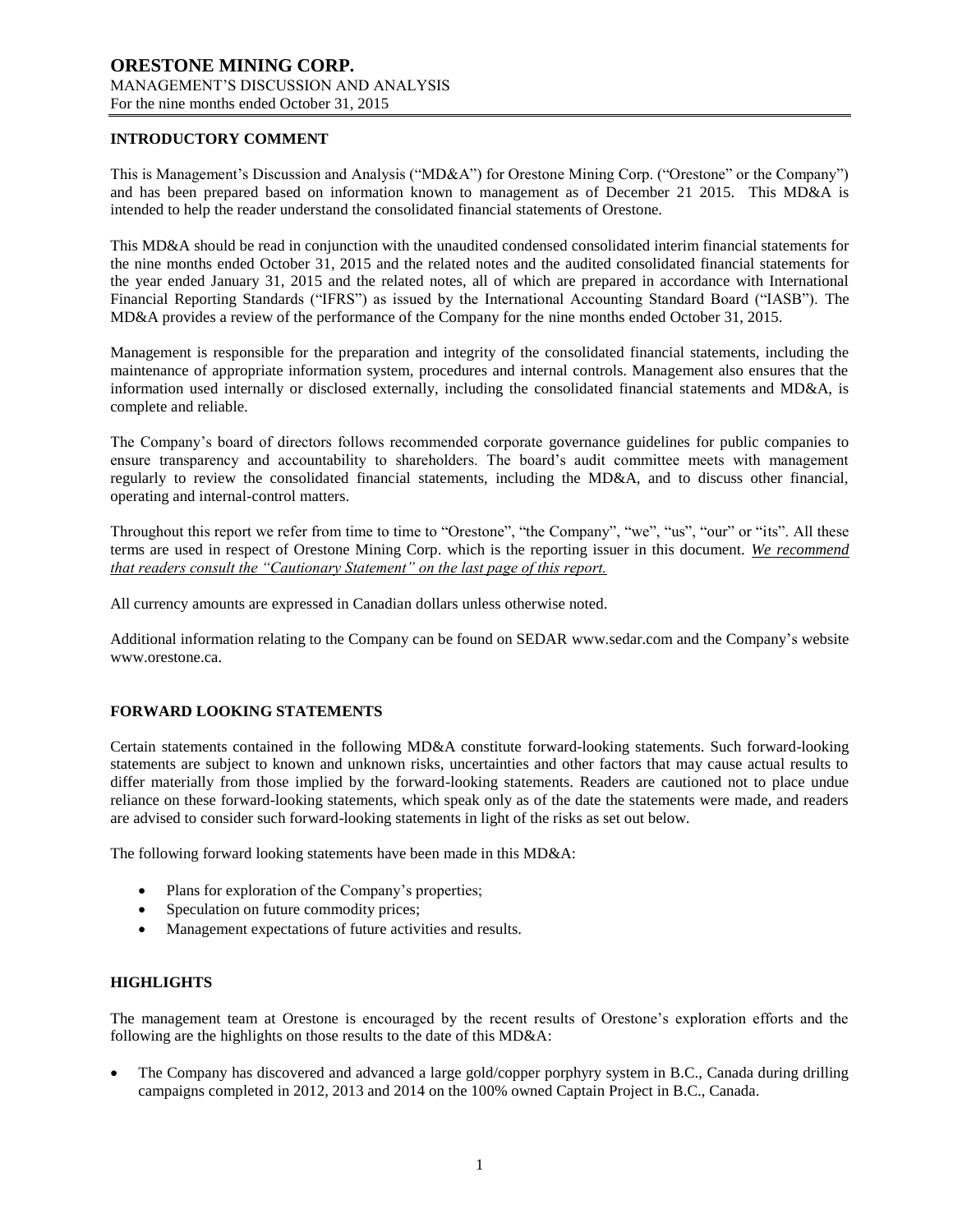## **INTRODUCTORY COMMENT**

This is Management's Discussion and Analysis ("MD&A") for Orestone Mining Corp. ("Orestone" or the Company") and has been prepared based on information known to management as of December 21 2015. This MD&A is intended to help the reader understand the consolidated financial statements of Orestone.

This MD&A should be read in conjunction with the unaudited condensed consolidated interim financial statements for the nine months ended October 31, 2015 and the related notes and the audited consolidated financial statements for the year ended January 31, 2015 and the related notes, all of which are prepared in accordance with International Financial Reporting Standards ("IFRS") as issued by the International Accounting Standard Board ("IASB"). The MD&A provides a review of the performance of the Company for the nine months ended October 31, 2015.

Management is responsible for the preparation and integrity of the consolidated financial statements, including the maintenance of appropriate information system, procedures and internal controls. Management also ensures that the information used internally or disclosed externally, including the consolidated financial statements and MD&A, is complete and reliable.

The Company's board of directors follows recommended corporate governance guidelines for public companies to ensure transparency and accountability to shareholders. The board's audit committee meets with management regularly to review the consolidated financial statements, including the MD&A, and to discuss other financial, operating and internal-control matters.

Throughout this report we refer from time to time to "Orestone", "the Company", "we", "us", "our" or "its". All these terms are used in respect of Orestone Mining Corp. which is the reporting issuer in this document. *We recommend that readers consult the "Cautionary Statement" on the last page of this report.*

All currency amounts are expressed in Canadian dollars unless otherwise noted.

Additional information relating to the Company can be found on SEDAR www.sedar.com and the Company's website www.orestone.ca.

## **FORWARD LOOKING STATEMENTS**

Certain statements contained in the following MD&A constitute forward-looking statements. Such forward-looking statements are subject to known and unknown risks, uncertainties and other factors that may cause actual results to differ materially from those implied by the forward-looking statements. Readers are cautioned not to place undue reliance on these forward-looking statements, which speak only as of the date the statements were made, and readers are advised to consider such forward-looking statements in light of the risks as set out below.

The following forward looking statements have been made in this MD&A:

- Plans for exploration of the Company's properties;
- Speculation on future commodity prices;
- Management expectations of future activities and results.

#### **HIGHLIGHTS**

The management team at Orestone is encouraged by the recent results of Orestone's exploration efforts and the following are the highlights on those results to the date of this MD&A:

 The Company has discovered and advanced a large gold/copper porphyry system in B.C., Canada during drilling campaigns completed in 2012, 2013 and 2014 on the 100% owned Captain Project in B.C., Canada.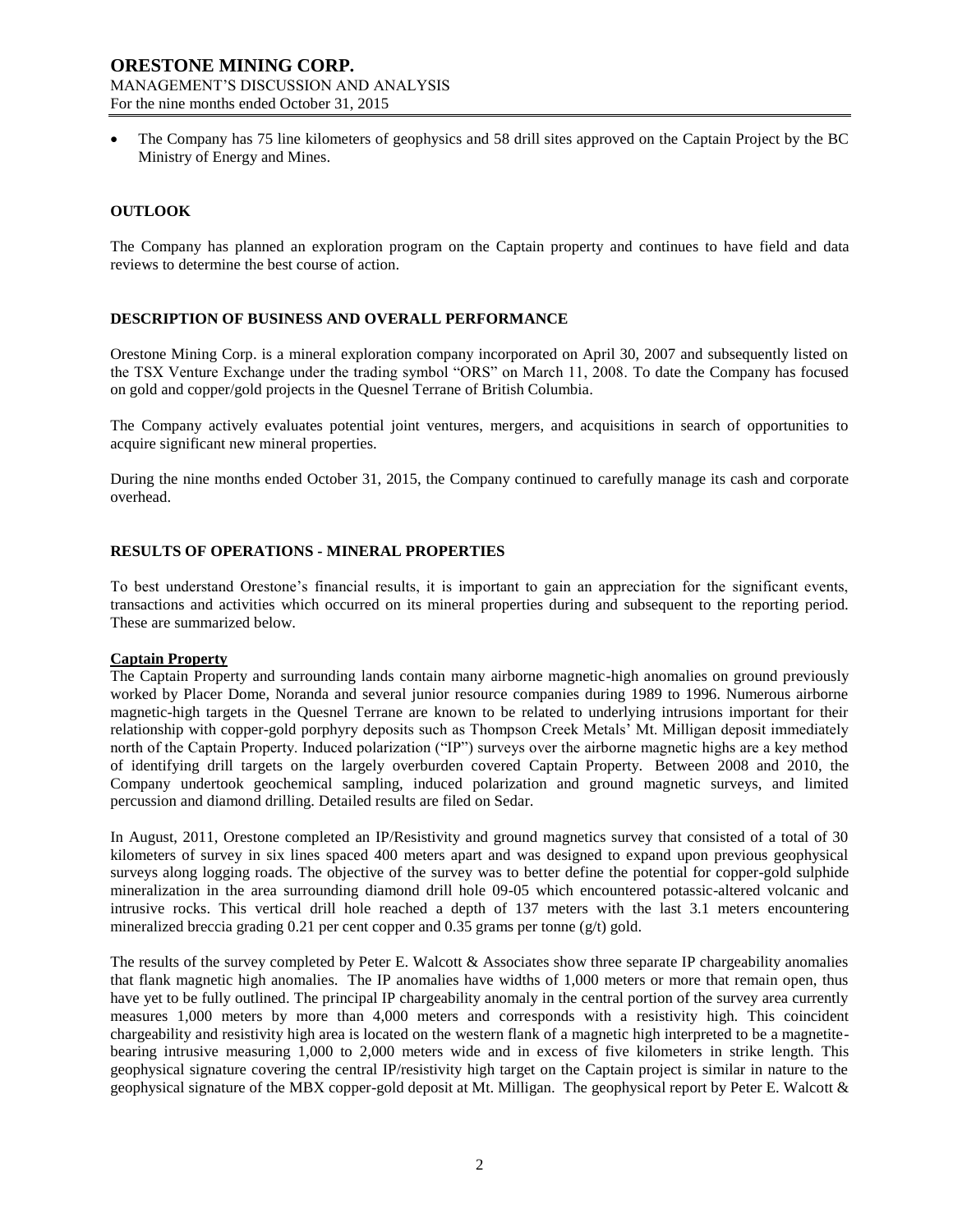The Company has 75 line kilometers of geophysics and 58 drill sites approved on the Captain Project by the BC Ministry of Energy and Mines.

### **OUTLOOK**

The Company has planned an exploration program on the Captain property and continues to have field and data reviews to determine the best course of action.

### **DESCRIPTION OF BUSINESS AND OVERALL PERFORMANCE**

Orestone Mining Corp. is a mineral exploration company incorporated on April 30, 2007 and subsequently listed on the TSX Venture Exchange under the trading symbol "ORS" on March 11, 2008. To date the Company has focused on gold and copper/gold projects in the Quesnel Terrane of British Columbia.

The Company actively evaluates potential joint ventures, mergers, and acquisitions in search of opportunities to acquire significant new mineral properties.

During the nine months ended October 31, 2015, the Company continued to carefully manage its cash and corporate overhead.

### **RESULTS OF OPERATIONS - MINERAL PROPERTIES**

To best understand Orestone's financial results, it is important to gain an appreciation for the significant events, transactions and activities which occurred on its mineral properties during and subsequent to the reporting period. These are summarized below.

#### **Captain Property**

The Captain Property and surrounding lands contain many airborne magnetic-high anomalies on ground previously worked by Placer Dome, Noranda and several junior resource companies during 1989 to 1996. Numerous airborne magnetic-high targets in the Quesnel Terrane are known to be related to underlying intrusions important for their relationship with copper-gold porphyry deposits such as Thompson Creek Metals' Mt. Milligan deposit immediately north of the Captain Property. Induced polarization ("IP") surveys over the airborne magnetic highs are a key method of identifying drill targets on the largely overburden covered Captain Property. Between 2008 and 2010, the Company undertook geochemical sampling, induced polarization and ground magnetic surveys, and limited percussion and diamond drilling. Detailed results are filed on Sedar.

In August, 2011, Orestone completed an IP/Resistivity and ground magnetics survey that consisted of a total of 30 kilometers of survey in six lines spaced 400 meters apart and was designed to expand upon previous geophysical surveys along logging roads. The objective of the survey was to better define the potential for copper-gold sulphide mineralization in the area surrounding diamond drill hole 09-05 which encountered potassic-altered volcanic and intrusive rocks. This vertical drill hole reached a depth of 137 meters with the last 3.1 meters encountering mineralized breccia grading 0.21 per cent copper and  $0.35$  grams per tonne (g/t) gold.

The results of the survey completed by Peter E. Walcott & Associates show three separate IP chargeability anomalies that flank magnetic high anomalies. The IP anomalies have widths of 1,000 meters or more that remain open, thus have yet to be fully outlined. The principal IP chargeability anomaly in the central portion of the survey area currently measures 1,000 meters by more than 4,000 meters and corresponds with a resistivity high. This coincident chargeability and resistivity high area is located on the western flank of a magnetic high interpreted to be a magnetitebearing intrusive measuring 1,000 to 2,000 meters wide and in excess of five kilometers in strike length. This geophysical signature covering the central IP/resistivity high target on the Captain project is similar in nature to the geophysical signature of the MBX copper-gold deposit at Mt. Milligan. The geophysical report by Peter E. Walcott &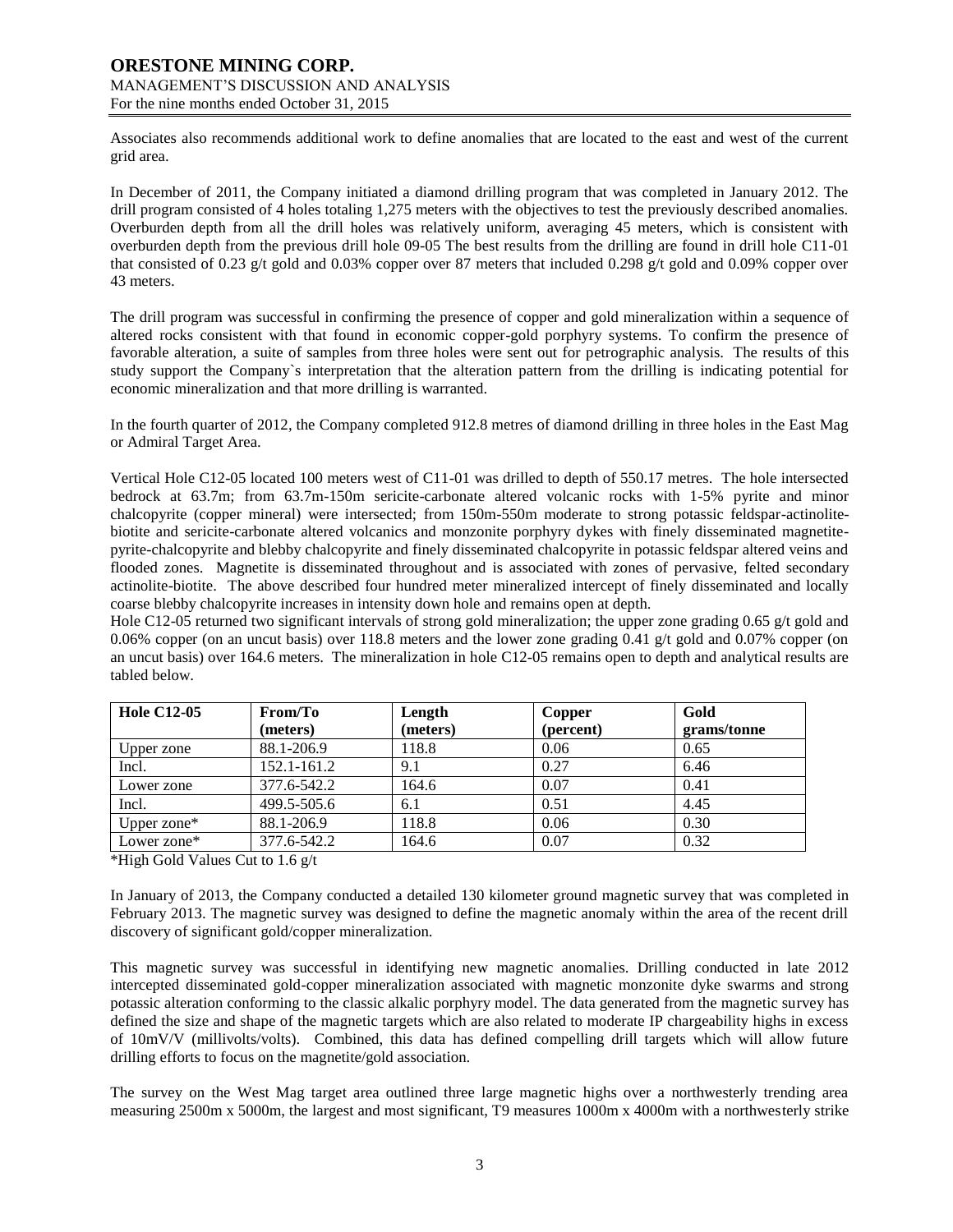Associates also recommends additional work to define anomalies that are located to the east and west of the current grid area.

In December of 2011, the Company initiated a diamond drilling program that was completed in January 2012. The drill program consisted of 4 holes totaling 1,275 meters with the objectives to test the previously described anomalies. Overburden depth from all the drill holes was relatively uniform, averaging 45 meters, which is consistent with overburden depth from the previous drill hole 09-05 The best results from the drilling are found in drill hole C11-01 that consisted of 0.23 g/t gold and 0.03% copper over 87 meters that included 0.298 g/t gold and 0.09% copper over 43 meters.

The drill program was successful in confirming the presence of copper and gold mineralization within a sequence of altered rocks consistent with that found in economic copper-gold porphyry systems. To confirm the presence of favorable alteration, a suite of samples from three holes were sent out for petrographic analysis. The results of this study support the Company`s interpretation that the alteration pattern from the drilling is indicating potential for economic mineralization and that more drilling is warranted.

In the fourth quarter of 2012, the Company completed 912.8 metres of diamond drilling in three holes in the East Mag or Admiral Target Area.

Vertical Hole C12-05 located 100 meters west of C11-01 was drilled to depth of 550.17 metres. The hole intersected bedrock at 63.7m; from 63.7m-150m sericite-carbonate altered volcanic rocks with 1-5% pyrite and minor chalcopyrite (copper mineral) were intersected; from 150m-550m moderate to strong potassic feldspar-actinolitebiotite and sericite-carbonate altered volcanics and monzonite porphyry dykes with finely disseminated magnetitepyrite-chalcopyrite and blebby chalcopyrite and finely disseminated chalcopyrite in potassic feldspar altered veins and flooded zones. Magnetite is disseminated throughout and is associated with zones of pervasive, felted secondary actinolite-biotite. The above described four hundred meter mineralized intercept of finely disseminated and locally coarse blebby chalcopyrite increases in intensity down hole and remains open at depth.

Hole C12-05 returned two significant intervals of strong gold mineralization; the upper zone grading 0.65 g/t gold and 0.06% copper (on an uncut basis) over 118.8 meters and the lower zone grading 0.41 g/t gold and 0.07% copper (on an uncut basis) over 164.6 meters. The mineralization in hole C12-05 remains open to depth and analytical results are tabled below.

| <b>Hole C12-05</b> | From/To     | Length   | Copper    | Gold        |
|--------------------|-------------|----------|-----------|-------------|
|                    | (meters)    | (meters) | (percent) | grams/tonne |
| Upper zone         | 88.1-206.9  | 118.8    | 0.06      | 0.65        |
| Incl.              | 152.1-161.2 | 9.1      | 0.27      | 6.46        |
| Lower zone         | 377.6-542.2 | 164.6    | 0.07      | 0.41        |
| Incl.              | 499.5-505.6 | 6.1      | 0.51      | 4.45        |
| Upper zone*        | 88.1-206.9  | 118.8    | 0.06      | 0.30        |
| Lower zone*        | 377.6-542.2 | 164.6    | 0.07      | 0.32        |

\*High Gold Values Cut to 1.6 g/t

In January of 2013, the Company conducted a detailed 130 kilometer ground magnetic survey that was completed in February 2013. The magnetic survey was designed to define the magnetic anomaly within the area of the recent drill discovery of significant gold/copper mineralization.

This magnetic survey was successful in identifying new magnetic anomalies. Drilling conducted in late 2012 intercepted disseminated gold-copper mineralization associated with magnetic monzonite dyke swarms and strong potassic alteration conforming to the classic alkalic porphyry model. The data generated from the magnetic survey has defined the size and shape of the magnetic targets which are also related to moderate IP chargeability highs in excess of 10mV/V (millivolts/volts). Combined, this data has defined compelling drill targets which will allow future drilling efforts to focus on the magnetite/gold association.

The survey on the West Mag target area outlined three large magnetic highs over a northwesterly trending area measuring 2500m x 5000m, the largest and most significant, T9 measures 1000m x 4000m with a northwesterly strike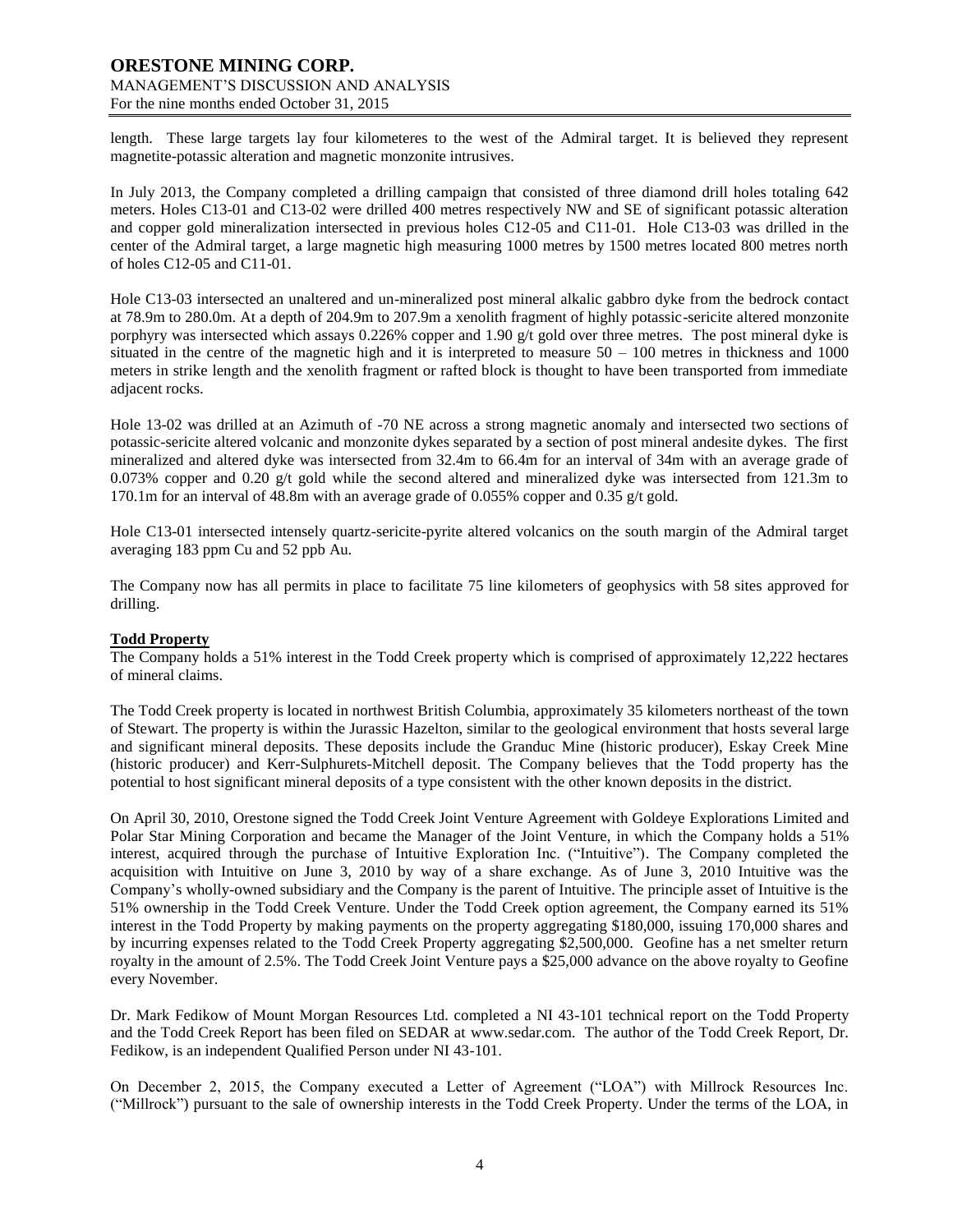length. These large targets lay four kilometeres to the west of the Admiral target. It is believed they represent magnetite-potassic alteration and magnetic monzonite intrusives.

In July 2013, the Company completed a drilling campaign that consisted of three diamond drill holes totaling 642 meters. Holes C13-01 and C13-02 were drilled 400 metres respectively NW and SE of significant potassic alteration and copper gold mineralization intersected in previous holes C12-05 and C11-01. Hole C13-03 was drilled in the center of the Admiral target, a large magnetic high measuring 1000 metres by 1500 metres located 800 metres north of holes C12-05 and C11-01.

Hole C13-03 intersected an unaltered and un-mineralized post mineral alkalic gabbro dyke from the bedrock contact at 78.9m to 280.0m. At a depth of 204.9m to 207.9m a xenolith fragment of highly potassic-sericite altered monzonite porphyry was intersected which assays 0.226% copper and 1.90 g/t gold over three metres. The post mineral dyke is situated in the centre of the magnetic high and it is interpreted to measure  $50 - 100$  metres in thickness and 1000 meters in strike length and the xenolith fragment or rafted block is thought to have been transported from immediate adjacent rocks.

Hole 13-02 was drilled at an Azimuth of -70 NE across a strong magnetic anomaly and intersected two sections of potassic-sericite altered volcanic and monzonite dykes separated by a section of post mineral andesite dykes. The first mineralized and altered dyke was intersected from 32.4m to 66.4m for an interval of 34m with an average grade of 0.073% copper and 0.20 g/t gold while the second altered and mineralized dyke was intersected from 121.3m to 170.1m for an interval of 48.8m with an average grade of 0.055% copper and 0.35 g/t gold.

Hole C13-01 intersected intensely quartz-sericite-pyrite altered volcanics on the south margin of the Admiral target averaging 183 ppm Cu and 52 ppb Au.

The Company now has all permits in place to facilitate 75 line kilometers of geophysics with 58 sites approved for drilling.

#### **Todd Property**

The Company holds a 51% interest in the Todd Creek property which is comprised of approximately 12,222 hectares of mineral claims.

The Todd Creek property is located in northwest British Columbia, approximately 35 kilometers northeast of the town of Stewart. The property is within the Jurassic Hazelton, similar to the geological environment that hosts several large and significant mineral deposits. These deposits include the Granduc Mine (historic producer), Eskay Creek Mine (historic producer) and Kerr-Sulphurets-Mitchell deposit. The Company believes that the Todd property has the potential to host significant mineral deposits of a type consistent with the other known deposits in the district.

On April 30, 2010, Orestone signed the Todd Creek Joint Venture Agreement with Goldeye Explorations Limited and Polar Star Mining Corporation and became the Manager of the Joint Venture, in which the Company holds a 51% interest, acquired through the purchase of Intuitive Exploration Inc. ("Intuitive"). The Company completed the acquisition with Intuitive on June 3, 2010 by way of a share exchange. As of June 3, 2010 Intuitive was the Company's wholly-owned subsidiary and the Company is the parent of Intuitive. The principle asset of Intuitive is the 51% ownership in the Todd Creek Venture. Under the Todd Creek option agreement, the Company earned its 51% interest in the Todd Property by making payments on the property aggregating \$180,000, issuing 170,000 shares and by incurring expenses related to the Todd Creek Property aggregating \$2,500,000. Geofine has a net smelter return royalty in the amount of 2.5%. The Todd Creek Joint Venture pays a \$25,000 advance on the above royalty to Geofine every November.

Dr. Mark Fedikow of Mount Morgan Resources Ltd. completed a NI 43-101 technical report on the Todd Property and the Todd Creek Report has been filed on SEDAR at [www.sedar.com.](http://www.sedar.com/) The author of the Todd Creek Report, Dr. Fedikow, is an independent Qualified Person under NI 43-101.

On December 2, 2015, the Company executed a Letter of Agreement ("LOA") with Millrock Resources Inc. ("Millrock") pursuant to the sale of ownership interests in the Todd Creek Property. Under the terms of the LOA, in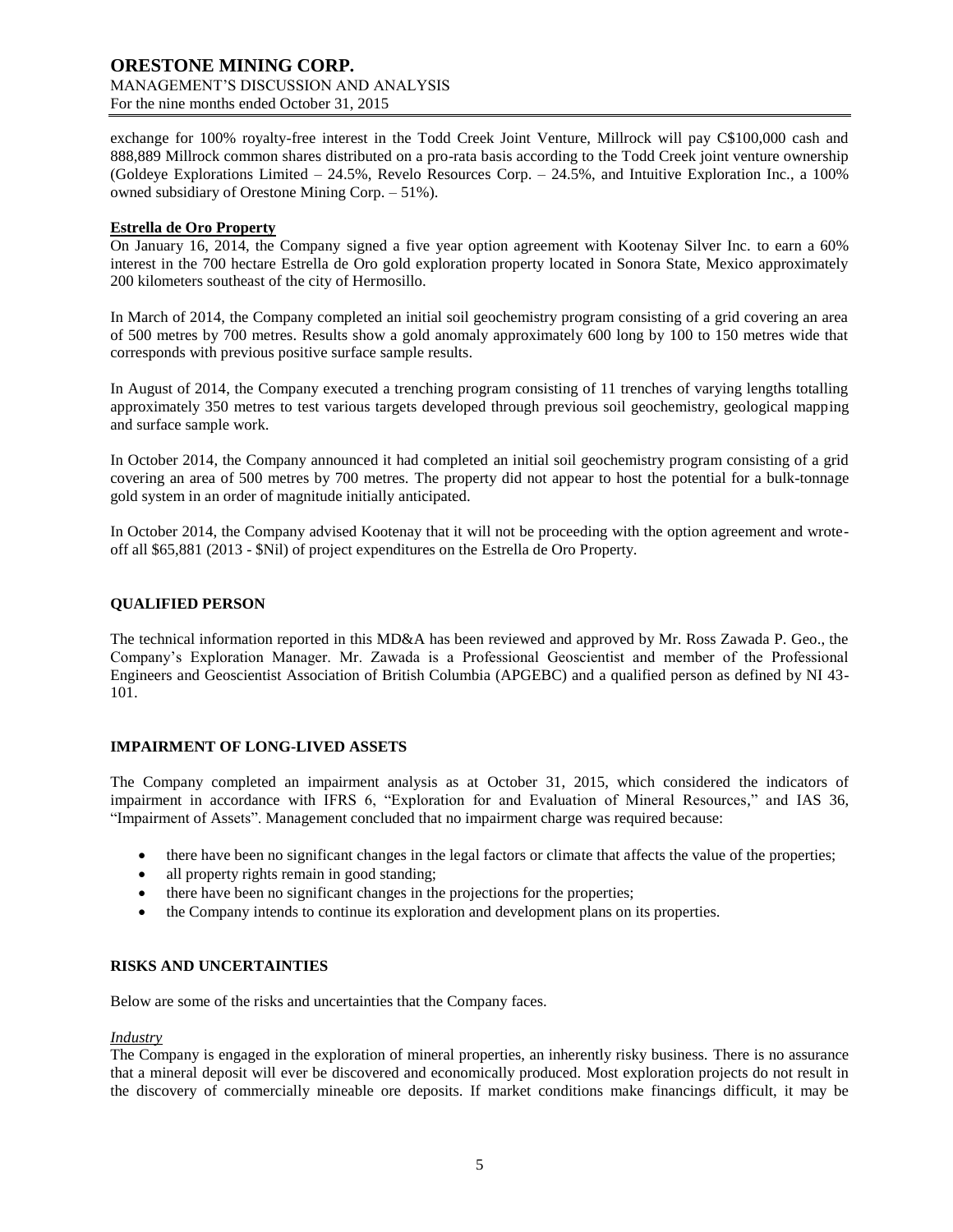exchange for 100% royalty-free interest in the Todd Creek Joint Venture, Millrock will pay C\$100,000 cash and 888,889 Millrock common shares distributed on a pro-rata basis according to the Todd Creek joint venture ownership (Goldeye Explorations Limited – 24.5%, Revelo Resources Corp. – 24.5%, and Intuitive Exploration Inc., a 100% owned subsidiary of Orestone Mining Corp. – 51%).

### **Estrella de Oro Property**

On January 16, 2014, the Company signed a five year option agreement with Kootenay Silver Inc. to earn a 60% interest in the 700 hectare Estrella de Oro gold exploration property located in Sonora State, Mexico approximately 200 kilometers southeast of the city of Hermosillo.

In March of 2014, the Company completed an initial soil geochemistry program consisting of a grid covering an area of 500 metres by 700 metres. Results show a gold anomaly approximately 600 long by 100 to 150 metres wide that corresponds with previous positive surface sample results.

In August of 2014, the Company executed a trenching program consisting of 11 trenches of varying lengths totalling approximately 350 metres to test various targets developed through previous soil geochemistry, geological mapping and surface sample work.

In October 2014, the Company announced it had completed an initial soil geochemistry program consisting of a grid covering an area of 500 metres by 700 metres. The property did not appear to host the potential for a bulk-tonnage gold system in an order of magnitude initially anticipated.

In October 2014, the Company advised Kootenay that it will not be proceeding with the option agreement and wroteoff all \$65,881 (2013 - \$Nil) of project expenditures on the Estrella de Oro Property.

## **QUALIFIED PERSON**

The technical information reported in this MD&A has been reviewed and approved by Mr. Ross Zawada P. Geo., the Company's Exploration Manager. Mr. Zawada is a Professional Geoscientist and member of the Professional Engineers and Geoscientist Association of British Columbia (APGEBC) and a qualified person as defined by NI 43- 101.

## **IMPAIRMENT OF LONG-LIVED ASSETS**

The Company completed an impairment analysis as at October 31, 2015, which considered the indicators of impairment in accordance with IFRS 6, "Exploration for and Evaluation of Mineral Resources," and IAS 36, "Impairment of Assets". Management concluded that no impairment charge was required because:

- there have been no significant changes in the legal factors or climate that affects the value of the properties;
- all property rights remain in good standing;
- there have been no significant changes in the projections for the properties;
- the Company intends to continue its exploration and development plans on its properties.

## **RISKS AND UNCERTAINTIES**

Below are some of the risks and uncertainties that the Company faces.

#### *Industry*

The Company is engaged in the exploration of mineral properties, an inherently risky business. There is no assurance that a mineral deposit will ever be discovered and economically produced. Most exploration projects do not result in the discovery of commercially mineable ore deposits. If market conditions make financings difficult, it may be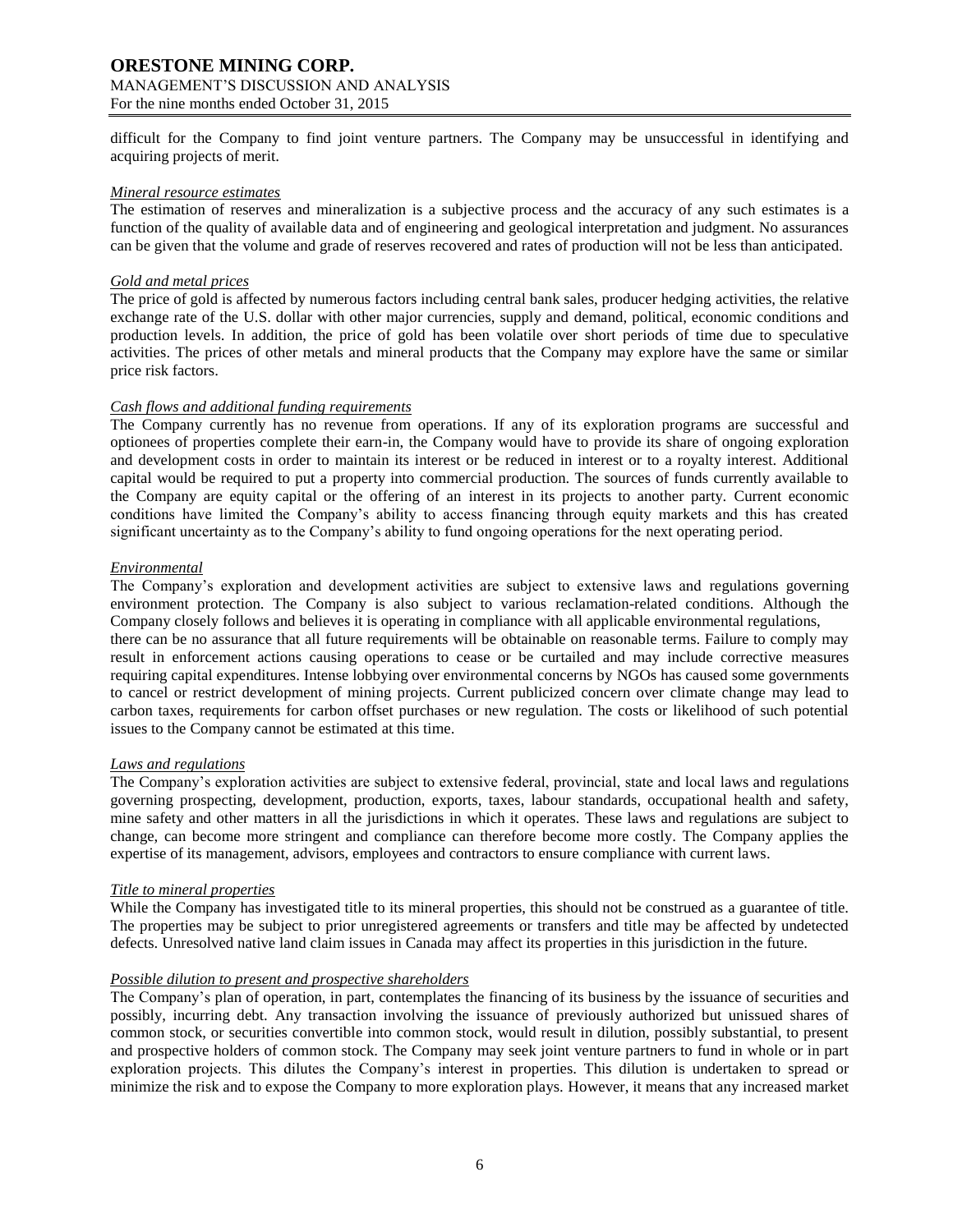# **ORESTONE MINING CORP.**

#### MANAGEMENT'S DISCUSSION AND ANALYSIS For the nine months ended October 31, 2015

difficult for the Company to find joint venture partners. The Company may be unsuccessful in identifying and acquiring projects of merit.

### *Mineral resource estimates*

The estimation of reserves and mineralization is a subjective process and the accuracy of any such estimates is a function of the quality of available data and of engineering and geological interpretation and judgment. No assurances can be given that the volume and grade of reserves recovered and rates of production will not be less than anticipated.

## *Gold and metal prices*

The price of gold is affected by numerous factors including central bank sales, producer hedging activities, the relative exchange rate of the U.S. dollar with other major currencies, supply and demand, political, economic conditions and production levels. In addition, the price of gold has been volatile over short periods of time due to speculative activities. The prices of other metals and mineral products that the Company may explore have the same or similar price risk factors.

### *Cash flows and additional funding requirements*

The Company currently has no revenue from operations. If any of its exploration programs are successful and optionees of properties complete their earn-in, the Company would have to provide its share of ongoing exploration and development costs in order to maintain its interest or be reduced in interest or to a royalty interest. Additional capital would be required to put a property into commercial production. The sources of funds currently available to the Company are equity capital or the offering of an interest in its projects to another party. Current economic conditions have limited the Company's ability to access financing through equity markets and this has created significant uncertainty as to the Company's ability to fund ongoing operations for the next operating period.

### *Environmental*

The Company's exploration and development activities are subject to extensive laws and regulations governing environment protection. The Company is also subject to various reclamation-related conditions. Although the Company closely follows and believes it is operating in compliance with all applicable environmental regulations, there can be no assurance that all future requirements will be obtainable on reasonable terms. Failure to comply may result in enforcement actions causing operations to cease or be curtailed and may include corrective measures requiring capital expenditures. Intense lobbying over environmental concerns by NGOs has caused some governments to cancel or restrict development of mining projects. Current publicized concern over climate change may lead to carbon taxes, requirements for carbon offset purchases or new regulation. The costs or likelihood of such potential issues to the Company cannot be estimated at this time.

## *Laws and regulations*

The Company's exploration activities are subject to extensive federal, provincial, state and local laws and regulations governing prospecting, development, production, exports, taxes, labour standards, occupational health and safety, mine safety and other matters in all the jurisdictions in which it operates. These laws and regulations are subject to change, can become more stringent and compliance can therefore become more costly. The Company applies the expertise of its management, advisors, employees and contractors to ensure compliance with current laws.

## *Title to mineral properties*

While the Company has investigated title to its mineral properties, this should not be construed as a guarantee of title. The properties may be subject to prior unregistered agreements or transfers and title may be affected by undetected defects. Unresolved native land claim issues in Canada may affect its properties in this jurisdiction in the future.

## *Possible dilution to present and prospective shareholders*

The Company's plan of operation, in part, contemplates the financing of its business by the issuance of securities and possibly, incurring debt. Any transaction involving the issuance of previously authorized but unissued shares of common stock, or securities convertible into common stock, would result in dilution, possibly substantial, to present and prospective holders of common stock. The Company may seek joint venture partners to fund in whole or in part exploration projects. This dilutes the Company's interest in properties. This dilution is undertaken to spread or minimize the risk and to expose the Company to more exploration plays. However, it means that any increased market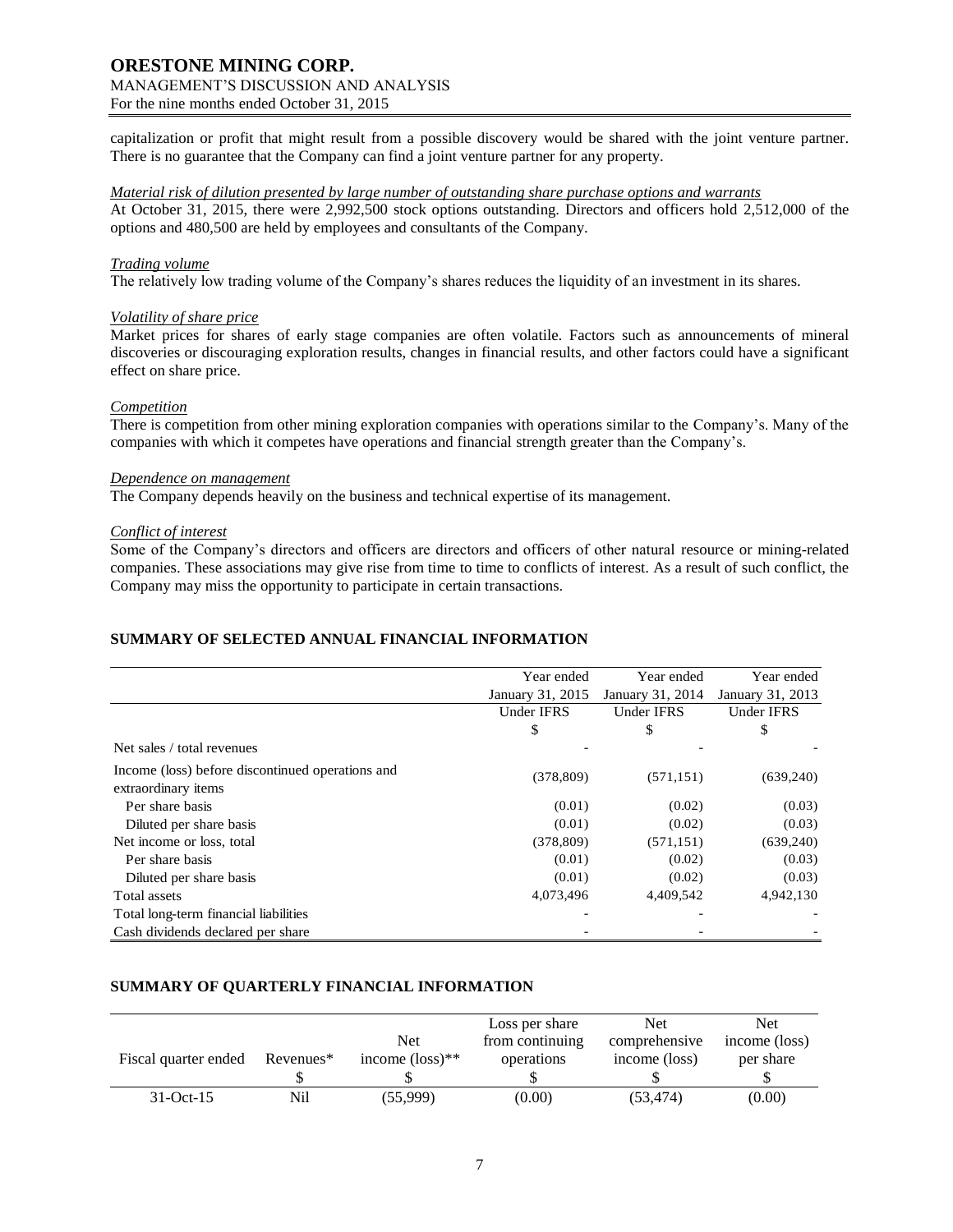# **ORESTONE MINING CORP.** MANAGEMENT'S DISCUSSION AND ANALYSIS

For the nine months ended October 31, 2015

capitalization or profit that might result from a possible discovery would be shared with the joint venture partner. There is no guarantee that the Company can find a joint venture partner for any property.

## *Material risk of dilution presented by large number of outstanding share purchase options and warrants*

At October 31, 2015, there were 2,992,500 stock options outstanding. Directors and officers hold 2,512,000 of the options and 480,500 are held by employees and consultants of the Company.

## *Trading volume*

The relatively low trading volume of the Company's shares reduces the liquidity of an investment in its shares.

### *Volatility of share price*

Market prices for shares of early stage companies are often volatile. Factors such as announcements of mineral discoveries or discouraging exploration results, changes in financial results, and other factors could have a significant effect on share price.

### *Competition*

There is competition from other mining exploration companies with operations similar to the Company's. Many of the companies with which it competes have operations and financial strength greater than the Company's.

### *Dependence on management*

The Company depends heavily on the business and technical expertise of its management.

### *Conflict of interest*

Some of the Company's directors and officers are directors and officers of other natural resource or mining-related companies. These associations may give rise from time to time to conflicts of interest. As a result of such conflict, the Company may miss the opportunity to participate in certain transactions.

# **SUMMARY OF SELECTED ANNUAL FINANCIAL INFORMATION**

|                                                                         | Year ended        | Year ended       | Year ended        |
|-------------------------------------------------------------------------|-------------------|------------------|-------------------|
|                                                                         | January 31, 2015  | January 31, 2014 | January 31, 2013  |
|                                                                         | <b>Under IFRS</b> | Under IFRS       | <b>Under IFRS</b> |
|                                                                         | \$                | \$               | \$                |
| Net sales / total revenues                                              |                   |                  |                   |
| Income (loss) before discontinued operations and<br>extraordinary items | (378, 809)        | (571, 151)       | (639, 240)        |
| Per share basis                                                         | (0.01)            | (0.02)           | (0.03)            |
| Diluted per share basis                                                 | (0.01)            | (0.02)           | (0.03)            |
| Net income or loss, total                                               | (378, 809)        | (571, 151)       | (639,240)         |
| Per share basis                                                         | (0.01)            | (0.02)           | (0.03)            |
| Diluted per share basis                                                 | (0.01)            | (0.02)           | (0.03)            |
| Total assets                                                            | 4,073,496         | 4,409,542        | 4,942,130         |
| Total long-term financial liabilities                                   |                   |                  |                   |
| Cash dividends declared per share                                       |                   |                  |                   |

## **SUMMARY OF QUARTERLY FINANCIAL INFORMATION**

|                      |           |                             | Loss per share  | <b>Net</b>    | Net           |
|----------------------|-----------|-----------------------------|-----------------|---------------|---------------|
|                      |           | Net                         | from continuing | comprehensive | income (loss) |
| Fiscal quarter ended | Revenues* | income $(\text{loss})^{**}$ | operations      | income (loss) | per share     |
|                      |           |                             |                 |               |               |
| $31-Oct-15$          | Nil       | (55,999)                    | (0.00)          | (53, 474)     | (0.00)        |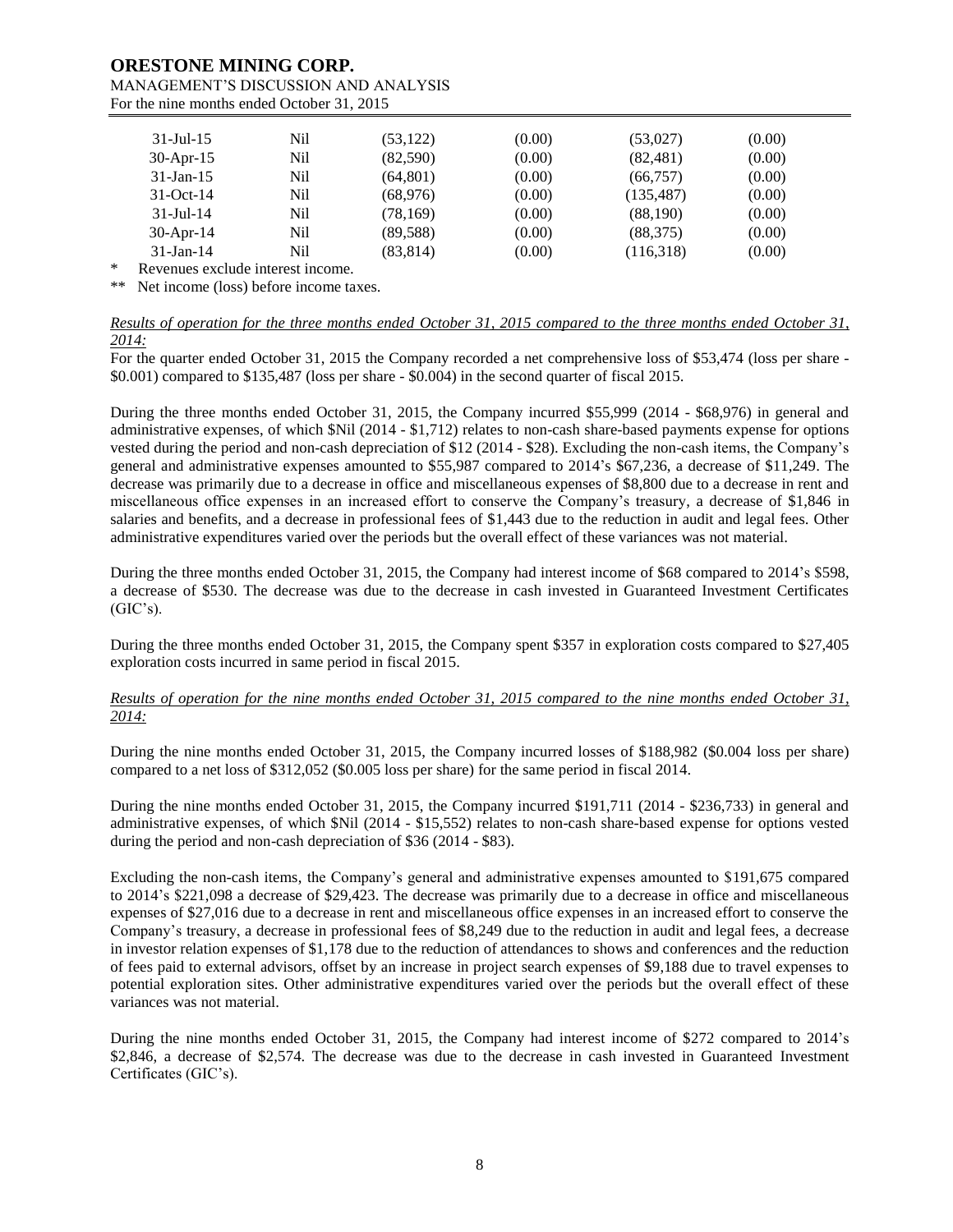# **ORESTONE MINING CORP.**

#### MANAGEMENT'S DISCUSSION AND ANALYSIS For the nine months ended October 31, 2015

| $31 -$ Jul $-15$                              | Nil | (53, 122) | (0.00) | (53,027)   | (0.00) |
|-----------------------------------------------|-----|-----------|--------|------------|--------|
| $30$ -Apr-15                                  | Nil | (82,590)  | (0.00) | (82, 481)  | (0.00) |
| $31$ -Jan-15                                  | Nil | (64, 801) | (0.00) | (66, 757)  | (0.00) |
| $31-Oct-14$                                   | Nil | (68,976)  | (0.00) | (135, 487) | (0.00) |
| $31 -$ Jul $-14$                              | Nil | (78, 169) | (0.00) | (88,190)   | (0.00) |
| $30$ -Apr-14                                  | Nil | (89, 588) | (0.00) | (88, 375)  | (0.00) |
| $31$ -Jan-14                                  | Nil | (83, 814) | (0.00) | (116,318)  | (0.00) |
| Danisani se se stali da bizani se bio se se s |     |           |        |            |        |

Revenues exclude interest income.

\*\* Net income (loss) before income taxes.

#### *Results of operation for the three months ended October 31, 2015 compared to the three months ended October 31, 2014:*

For the quarter ended October 31, 2015 the Company recorded a net comprehensive loss of \$53,474 (loss per share - \$0.001) compared to \$135,487 (loss per share - \$0.004) in the second quarter of fiscal 2015.

During the three months ended October 31, 2015, the Company incurred \$55,999 (2014 - \$68,976) in general and administrative expenses, of which \$Nil (2014 - \$1,712) relates to non-cash share-based payments expense for options vested during the period and non-cash depreciation of \$12 (2014 - \$28). Excluding the non-cash items, the Company's general and administrative expenses amounted to \$55,987 compared to 2014's \$67,236, a decrease of \$11,249. The decrease was primarily due to a decrease in office and miscellaneous expenses of \$8,800 due to a decrease in rent and miscellaneous office expenses in an increased effort to conserve the Company's treasury, a decrease of \$1,846 in salaries and benefits, and a decrease in professional fees of \$1,443 due to the reduction in audit and legal fees. Other administrative expenditures varied over the periods but the overall effect of these variances was not material.

During the three months ended October 31, 2015, the Company had interest income of \$68 compared to 2014's \$598, a decrease of \$530. The decrease was due to the decrease in cash invested in Guaranteed Investment Certificates  $(GIC's)$ .

During the three months ended October 31, 2015, the Company spent \$357 in exploration costs compared to \$27,405 exploration costs incurred in same period in fiscal 2015.

### *Results of operation for the nine months ended October 31, 2015 compared to the nine months ended October 31, 2014:*

During the nine months ended October 31, 2015, the Company incurred losses of \$188,982 (\$0.004 loss per share) compared to a net loss of \$312,052 (\$0.005 loss per share) for the same period in fiscal 2014.

During the nine months ended October 31, 2015, the Company incurred \$191,711 (2014 - \$236,733) in general and administrative expenses, of which \$Nil (2014 - \$15,552) relates to non-cash share-based expense for options vested during the period and non-cash depreciation of \$36 (2014 - \$83).

Excluding the non-cash items, the Company's general and administrative expenses amounted to \$191,675 compared to 2014's \$221,098 a decrease of \$29,423. The decrease was primarily due to a decrease in office and miscellaneous expenses of \$27,016 due to a decrease in rent and miscellaneous office expenses in an increased effort to conserve the Company's treasury, a decrease in professional fees of \$8,249 due to the reduction in audit and legal fees, a decrease in investor relation expenses of \$1,178 due to the reduction of attendances to shows and conferences and the reduction of fees paid to external advisors, offset by an increase in project search expenses of \$9,188 due to travel expenses to potential exploration sites. Other administrative expenditures varied over the periods but the overall effect of these variances was not material.

During the nine months ended October 31, 2015, the Company had interest income of \$272 compared to 2014's \$2,846, a decrease of \$2,574. The decrease was due to the decrease in cash invested in Guaranteed Investment Certificates (GIC's).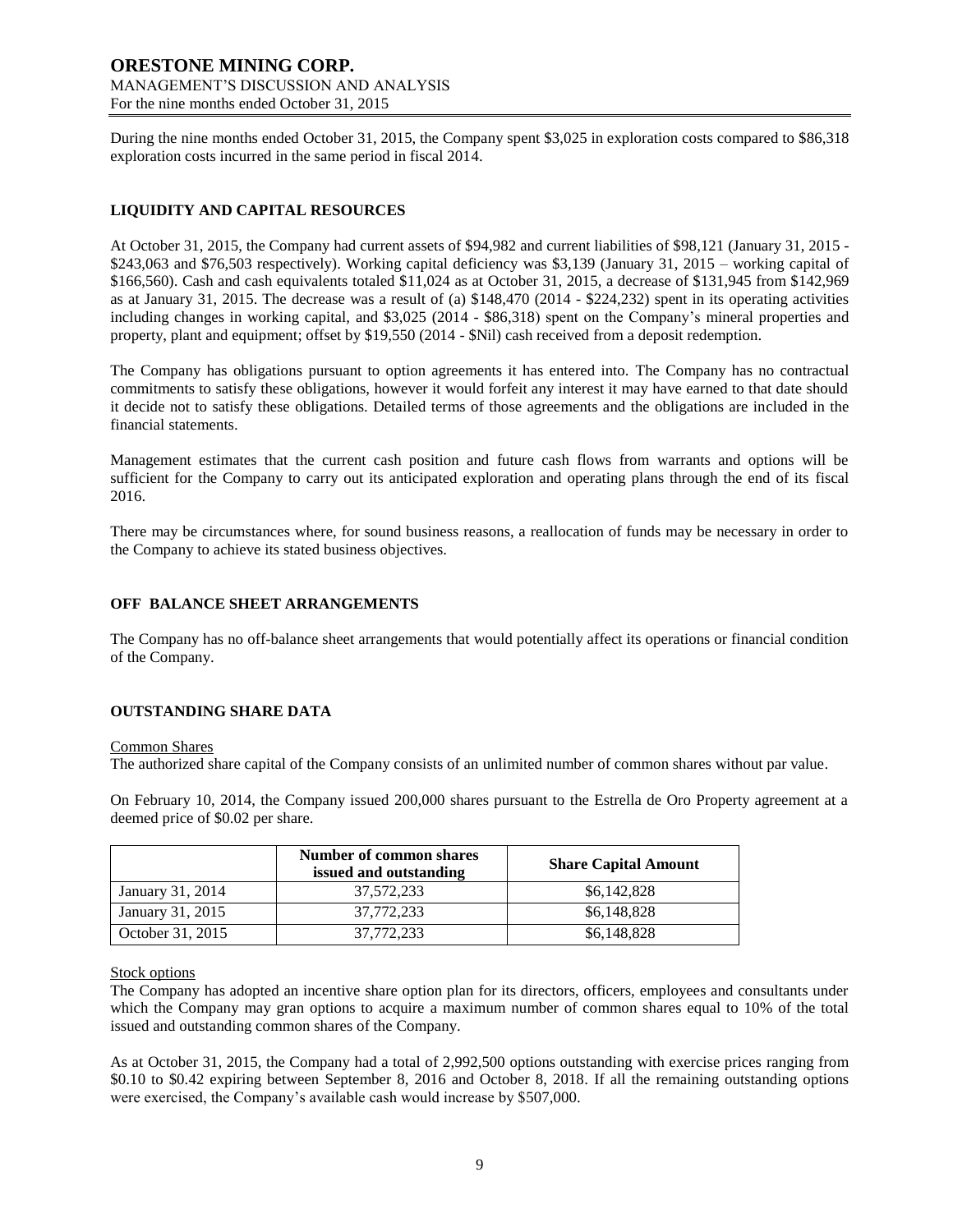During the nine months ended October 31, 2015, the Company spent \$3,025 in exploration costs compared to \$86,318 exploration costs incurred in the same period in fiscal 2014.

# **LIQUIDITY AND CAPITAL RESOURCES**

At October 31, 2015, the Company had current assets of \$94,982 and current liabilities of \$98,121 (January 31, 2015 - \$243,063 and \$76,503 respectively). Working capital deficiency was \$3,139 (January 31, 2015 – working capital of \$166,560). Cash and cash equivalents totaled \$11,024 as at October 31, 2015, a decrease of \$131,945 from \$142,969 as at January 31, 2015. The decrease was a result of (a) \$148,470 (2014 - \$224,232) spent in its operating activities including changes in working capital, and \$3,025 (2014 - \$86,318) spent on the Company's mineral properties and property, plant and equipment; offset by \$19,550 (2014 - \$Nil) cash received from a deposit redemption.

The Company has obligations pursuant to option agreements it has entered into. The Company has no contractual commitments to satisfy these obligations, however it would forfeit any interest it may have earned to that date should it decide not to satisfy these obligations. Detailed terms of those agreements and the obligations are included in the financial statements.

Management estimates that the current cash position and future cash flows from warrants and options will be sufficient for the Company to carry out its anticipated exploration and operating plans through the end of its fiscal 2016.

There may be circumstances where, for sound business reasons, a reallocation of funds may be necessary in order to the Company to achieve its stated business objectives.

## **OFF BALANCE SHEET ARRANGEMENTS**

The Company has no off-balance sheet arrangements that would potentially affect its operations or financial condition of the Company.

## **OUTSTANDING SHARE DATA**

#### Common Shares

The authorized share capital of the Company consists of an unlimited number of common shares without par value.

On February 10, 2014, the Company issued 200,000 shares pursuant to the Estrella de Oro Property agreement at a deemed price of \$0.02 per share.

|                  | Number of common shares<br>issued and outstanding | <b>Share Capital Amount</b> |
|------------------|---------------------------------------------------|-----------------------------|
| January 31, 2014 | 37, 572, 233                                      | \$6,142,828                 |
| January 31, 2015 | 37,772,233                                        | \$6,148,828                 |
| October 31, 2015 | 37,772,233                                        | \$6,148,828                 |

#### Stock options

The Company has adopted an incentive share option plan for its directors, officers, employees and consultants under which the Company may gran options to acquire a maximum number of common shares equal to 10% of the total issued and outstanding common shares of the Company.

As at October 31, 2015, the Company had a total of 2,992,500 options outstanding with exercise prices ranging from \$0.10 to \$0.42 expiring between September 8, 2016 and October 8, 2018. If all the remaining outstanding options were exercised, the Company's available cash would increase by \$507,000.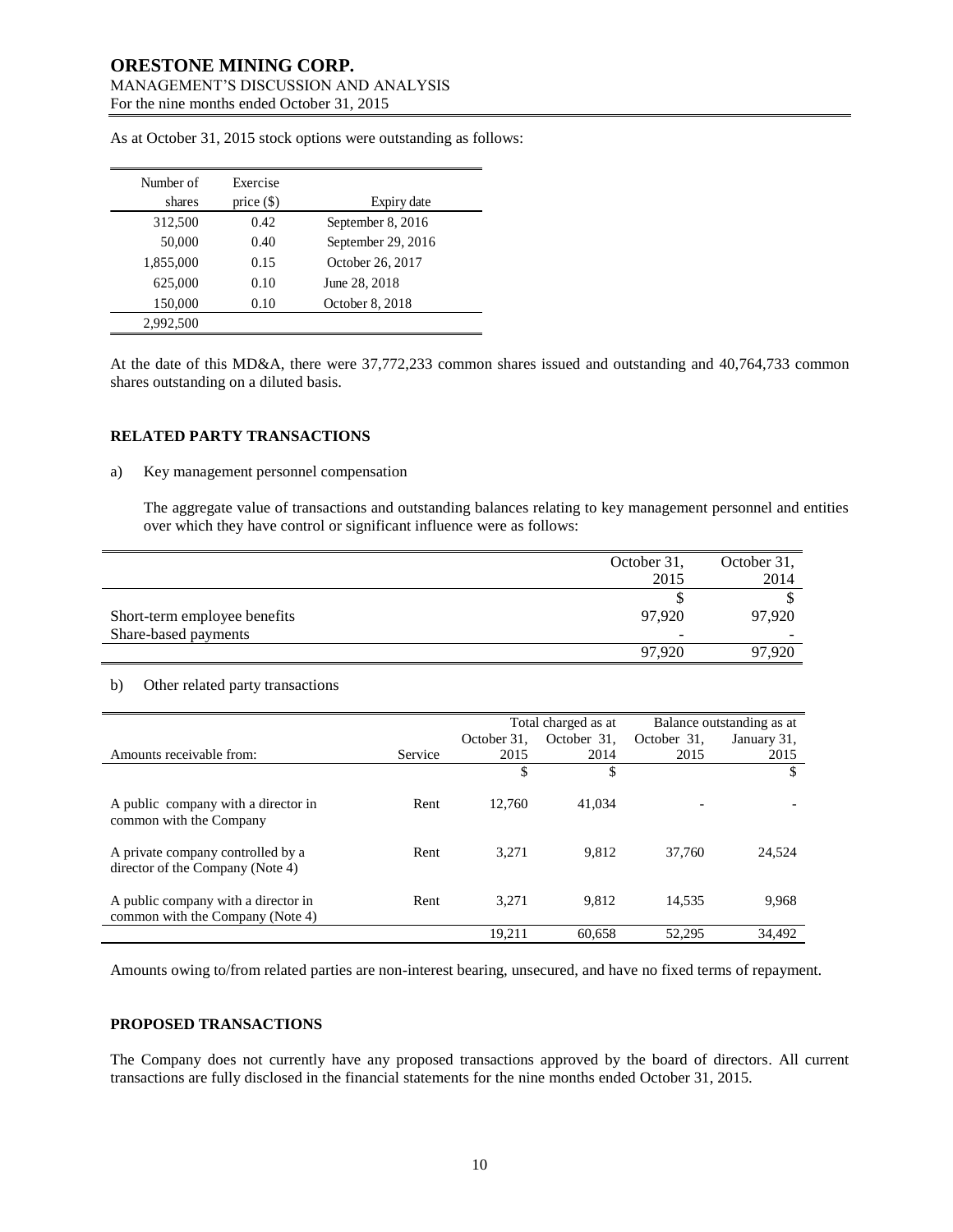| Number of | Exercise     |                    |
|-----------|--------------|--------------------|
| shares    | price $(\$)$ | Expiry date        |
| 312,500   | 0.42         | September 8, 2016  |
| 50,000    | 0.40         | September 29, 2016 |
| 1,855,000 | 0.15         | October 26, 2017   |
| 625,000   | 0.10         | June 28, 2018      |
| 150,000   | 0.10         | October 8, 2018    |
| 2,992,500 |              |                    |

As at October 31, 2015 stock options were outstanding as follows:

At the date of this MD&A, there were 37,772,233 common shares issued and outstanding and 40,764,733 common shares outstanding on a diluted basis.

#### **RELATED PARTY TRANSACTIONS**

#### a) Key management personnel compensation

The aggregate value of transactions and outstanding balances relating to key management personnel and entities over which they have control or significant influence were as follows:

|                              | October 31, | October 31, |
|------------------------------|-------------|-------------|
|                              | 2015        | 2014        |
|                              |             |             |
| Short-term employee benefits | 97.920      | 97.920      |
| Share-based payments         | -           |             |
|                              | 97.920      | 97.920      |

#### b) Other related party transactions

|                                     |         | Total charged as at |             | Balance outstanding as at |             |
|-------------------------------------|---------|---------------------|-------------|---------------------------|-------------|
|                                     |         | October 31.         | October 31. | October 31.               | January 31, |
| Amounts receivable from:            | Service | 2015                | 2014        | 2015                      | 2015        |
|                                     |         | \$                  | \$          |                           | \$          |
|                                     |         |                     |             |                           |             |
| A public company with a director in | Rent    | 12.760              | 41,034      |                           |             |
| common with the Company             |         |                     |             |                           |             |
|                                     |         |                     |             |                           |             |
| A private company controlled by a   | Rent    | 3.271               | 9.812       | 37,760                    | 24,524      |
| director of the Company (Note 4)    |         |                     |             |                           |             |
|                                     |         |                     |             |                           |             |
| A public company with a director in | Rent    | 3.271               | 9.812       | 14,535                    | 9,968       |
| common with the Company (Note 4)    |         |                     |             |                           |             |
|                                     |         | 19.211              | 60.658      | 52,295                    | 34.492      |

Amounts owing to/from related parties are non-interest bearing, unsecured, and have no fixed terms of repayment.

#### **PROPOSED TRANSACTIONS**

The Company does not currently have any proposed transactions approved by the board of directors. All current transactions are fully disclosed in the financial statements for the nine months ended October 31, 2015.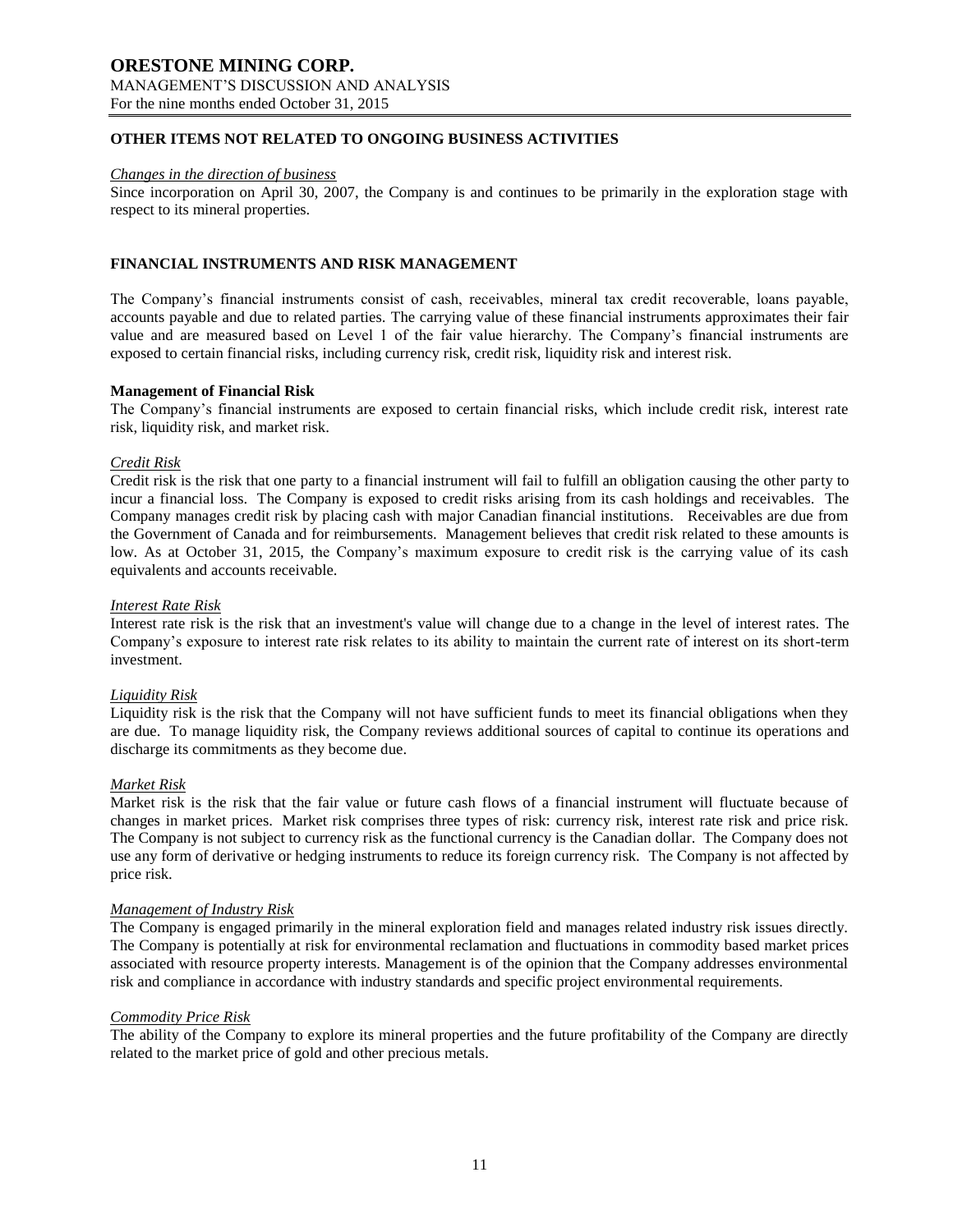## **OTHER ITEMS NOT RELATED TO ONGOING BUSINESS ACTIVITIES**

#### *Changes in the direction of business*

Since incorporation on April 30, 2007, the Company is and continues to be primarily in the exploration stage with respect to its mineral properties.

#### **FINANCIAL INSTRUMENTS AND RISK MANAGEMENT**

The Company's financial instruments consist of cash, receivables, mineral tax credit recoverable, loans payable, accounts payable and due to related parties. The carrying value of these financial instruments approximates their fair value and are measured based on Level 1 of the fair value hierarchy. The Company's financial instruments are exposed to certain financial risks, including currency risk, credit risk, liquidity risk and interest risk.

#### **Management of Financial Risk**

The Company's financial instruments are exposed to certain financial risks, which include credit risk, interest rate risk, liquidity risk, and market risk.

#### *Credit Risk*

Credit risk is the risk that one party to a financial instrument will fail to fulfill an obligation causing the other party to incur a financial loss. The Company is exposed to credit risks arising from its cash holdings and receivables. The Company manages credit risk by placing cash with major Canadian financial institutions. Receivables are due from the Government of Canada and for reimbursements. Management believes that credit risk related to these amounts is low. As at October 31, 2015, the Company's maximum exposure to credit risk is the carrying value of its cash equivalents and accounts receivable.

#### *Interest Rate Risk*

Interest rate risk is the risk that an investment's value will change due to a change in the level of interest rates. The Company's exposure to interest rate risk relates to its ability to maintain the current rate of interest on its short-term investment.

#### *Liquidity Risk*

Liquidity risk is the risk that the Company will not have sufficient funds to meet its financial obligations when they are due. To manage liquidity risk, the Company reviews additional sources of capital to continue its operations and discharge its commitments as they become due.

#### *Market Risk*

Market risk is the risk that the fair value or future cash flows of a financial instrument will fluctuate because of changes in market prices. Market risk comprises three types of risk: currency risk, interest rate risk and price risk. The Company is not subject to currency risk as the functional currency is the Canadian dollar. The Company does not use any form of derivative or hedging instruments to reduce its foreign currency risk. The Company is not affected by price risk.

#### *Management of Industry Risk*

The Company is engaged primarily in the mineral exploration field and manages related industry risk issues directly. The Company is potentially at risk for environmental reclamation and fluctuations in commodity based market prices associated with resource property interests. Management is of the opinion that the Company addresses environmental risk and compliance in accordance with industry standards and specific project environmental requirements.

#### *Commodity Price Risk*

The ability of the Company to explore its mineral properties and the future profitability of the Company are directly related to the market price of gold and other precious metals.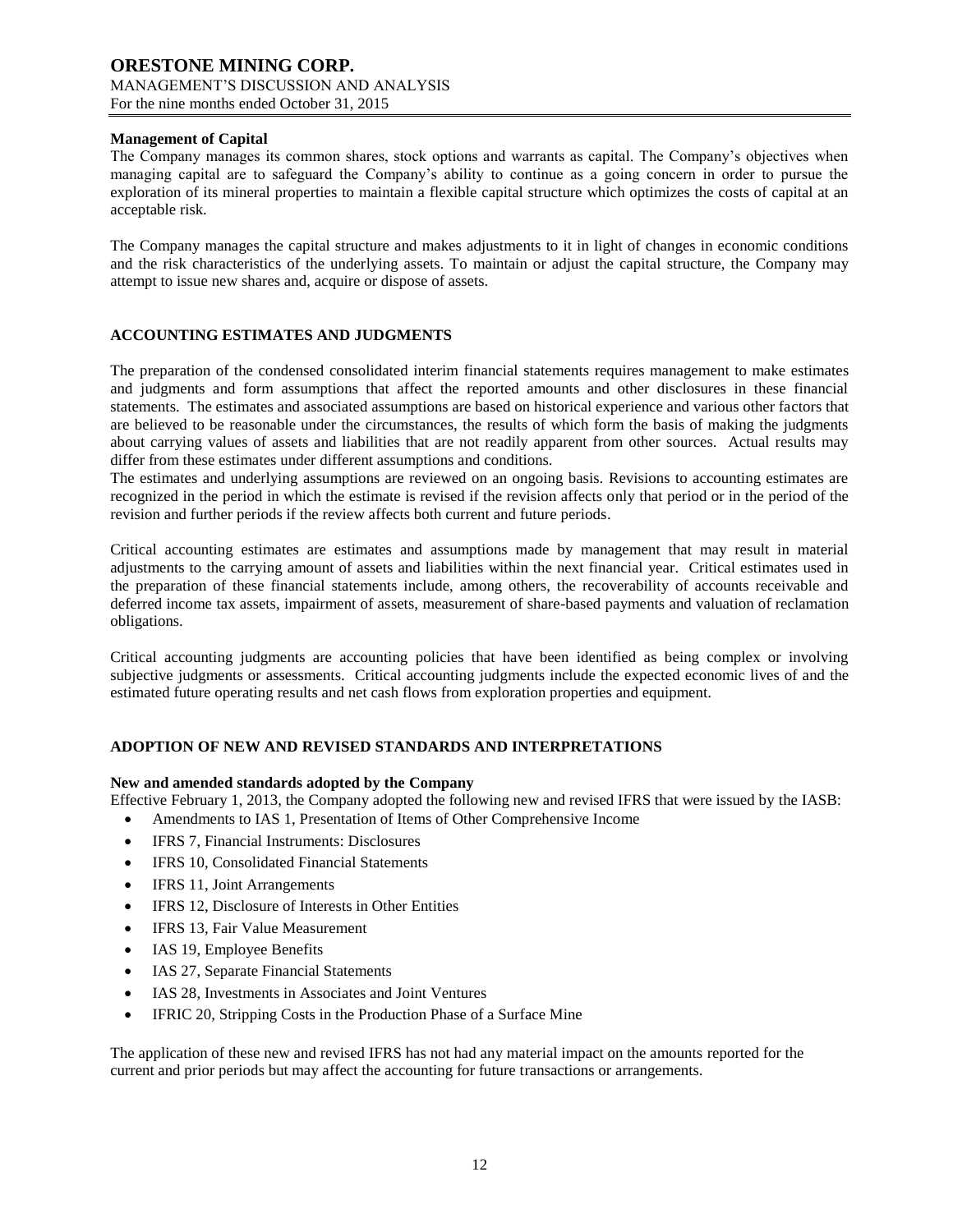# **Management of Capital**

The Company manages its common shares, stock options and warrants as capital. The Company's objectives when managing capital are to safeguard the Company's ability to continue as a going concern in order to pursue the exploration of its mineral properties to maintain a flexible capital structure which optimizes the costs of capital at an acceptable risk.

The Company manages the capital structure and makes adjustments to it in light of changes in economic conditions and the risk characteristics of the underlying assets. To maintain or adjust the capital structure, the Company may attempt to issue new shares and, acquire or dispose of assets.

# **ACCOUNTING ESTIMATES AND JUDGMENTS**

The preparation of the condensed consolidated interim financial statements requires management to make estimates and judgments and form assumptions that affect the reported amounts and other disclosures in these financial statements. The estimates and associated assumptions are based on historical experience and various other factors that are believed to be reasonable under the circumstances, the results of which form the basis of making the judgments about carrying values of assets and liabilities that are not readily apparent from other sources. Actual results may differ from these estimates under different assumptions and conditions.

The estimates and underlying assumptions are reviewed on an ongoing basis. Revisions to accounting estimates are recognized in the period in which the estimate is revised if the revision affects only that period or in the period of the revision and further periods if the review affects both current and future periods.

Critical accounting estimates are estimates and assumptions made by management that may result in material adjustments to the carrying amount of assets and liabilities within the next financial year. Critical estimates used in the preparation of these financial statements include, among others, the recoverability of accounts receivable and deferred income tax assets, impairment of assets, measurement of share-based payments and valuation of reclamation obligations.

Critical accounting judgments are accounting policies that have been identified as being complex or involving subjective judgments or assessments. Critical accounting judgments include the expected economic lives of and the estimated future operating results and net cash flows from exploration properties and equipment.

## **ADOPTION OF NEW AND REVISED STANDARDS AND INTERPRETATIONS**

#### **New and amended standards adopted by the Company**

Effective February 1, 2013, the Company adopted the following new and revised IFRS that were issued by the IASB:

- Amendments to IAS 1, Presentation of Items of Other Comprehensive Income
- IFRS 7, Financial Instruments: Disclosures
- IFRS 10, Consolidated Financial Statements
- IFRS 11, Joint Arrangements
- IFRS 12, Disclosure of Interests in Other Entities
- IFRS 13, Fair Value Measurement
- IAS 19, Employee Benefits
- IAS 27, Separate Financial Statements
- IAS 28, Investments in Associates and Joint Ventures
- IFRIC 20, Stripping Costs in the Production Phase of a Surface Mine

The application of these new and revised IFRS has not had any material impact on the amounts reported for the current and prior periods but may affect the accounting for future transactions or arrangements.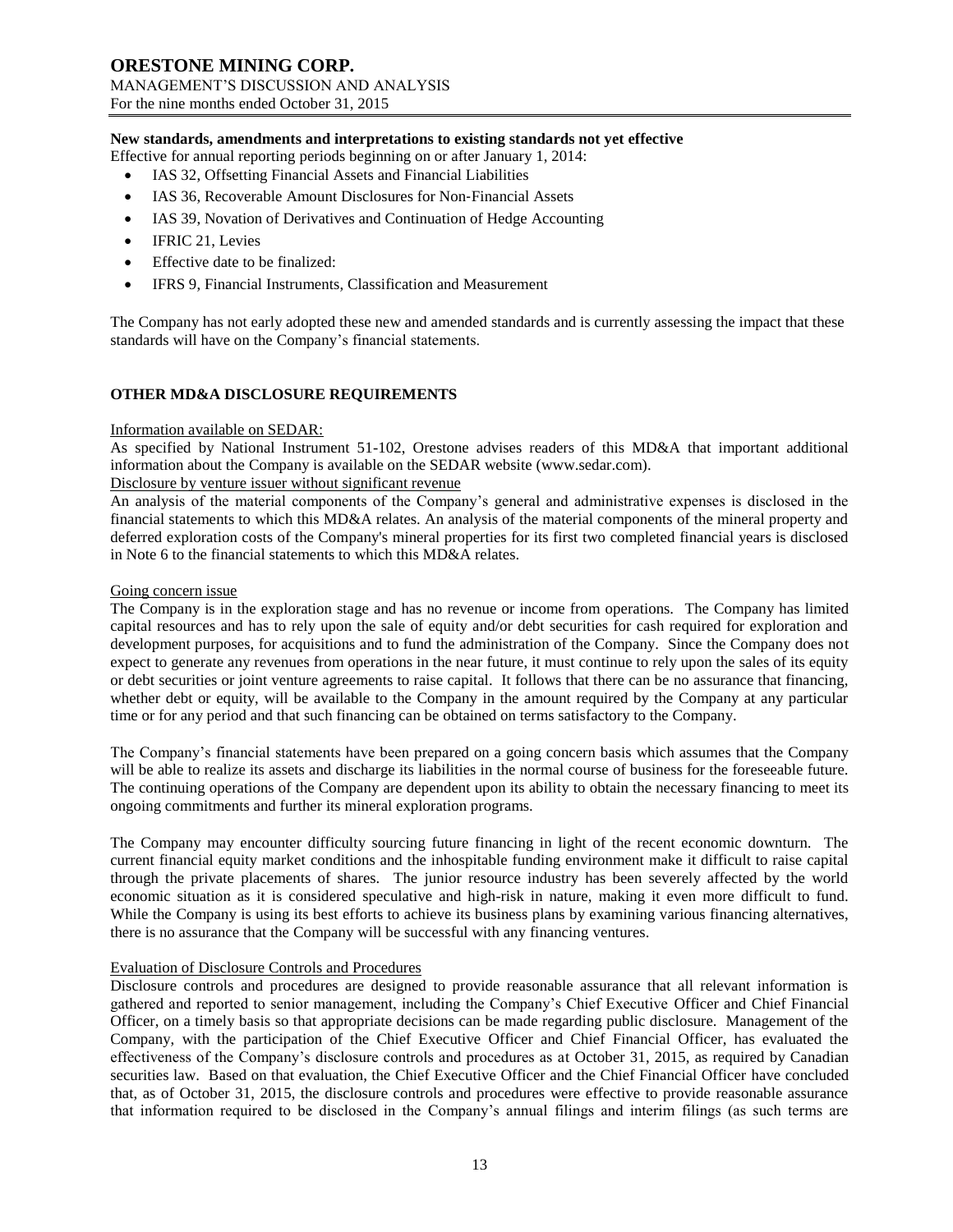## **New standards, amendments and interpretations to existing standards not yet effective**

Effective for annual reporting periods beginning on or after January 1, 2014:

- IAS 32, Offsetting Financial Assets and Financial Liabilities
- IAS 36, Recoverable Amount Disclosures for Non‐Financial Assets
- IAS 39, Novation of Derivatives and Continuation of Hedge Accounting
- IFRIC 21, Levies
- Effective date to be finalized:
- IFRS 9, Financial Instruments, Classification and Measurement

The Company has not early adopted these new and amended standards and is currently assessing the impact that these standards will have on the Company's financial statements.

## **OTHER MD&A DISCLOSURE REQUIREMENTS**

#### Information available on SEDAR:

As specified by National Instrument 51-102, Orestone advises readers of this MD&A that important additional information about the Company is available on the SEDAR website (www.sedar.com).

# Disclosure by venture issuer without significant revenue

An analysis of the material components of the Company's general and administrative expenses is disclosed in the financial statements to which this MD&A relates. An analysis of the material components of the mineral property and deferred exploration costs of the Company's mineral properties for its first two completed financial years is disclosed in Note 6 to the financial statements to which this MD&A relates.

#### Going concern issue

The Company is in the exploration stage and has no revenue or income from operations. The Company has limited capital resources and has to rely upon the sale of equity and/or debt securities for cash required for exploration and development purposes, for acquisitions and to fund the administration of the Company. Since the Company does not expect to generate any revenues from operations in the near future, it must continue to rely upon the sales of its equity or debt securities or joint venture agreements to raise capital. It follows that there can be no assurance that financing, whether debt or equity, will be available to the Company in the amount required by the Company at any particular time or for any period and that such financing can be obtained on terms satisfactory to the Company.

The Company's financial statements have been prepared on a going concern basis which assumes that the Company will be able to realize its assets and discharge its liabilities in the normal course of business for the foreseeable future. The continuing operations of the Company are dependent upon its ability to obtain the necessary financing to meet its ongoing commitments and further its mineral exploration programs.

The Company may encounter difficulty sourcing future financing in light of the recent economic downturn. The current financial equity market conditions and the inhospitable funding environment make it difficult to raise capital through the private placements of shares. The junior resource industry has been severely affected by the world economic situation as it is considered speculative and high-risk in nature, making it even more difficult to fund. While the Company is using its best efforts to achieve its business plans by examining various financing alternatives, there is no assurance that the Company will be successful with any financing ventures.

#### Evaluation of Disclosure Controls and Procedures

Disclosure controls and procedures are designed to provide reasonable assurance that all relevant information is gathered and reported to senior management, including the Company's Chief Executive Officer and Chief Financial Officer, on a timely basis so that appropriate decisions can be made regarding public disclosure. Management of the Company, with the participation of the Chief Executive Officer and Chief Financial Officer, has evaluated the effectiveness of the Company's disclosure controls and procedures as at October 31, 2015, as required by Canadian securities law. Based on that evaluation, the Chief Executive Officer and the Chief Financial Officer have concluded that, as of October 31, 2015, the disclosure controls and procedures were effective to provide reasonable assurance that information required to be disclosed in the Company's annual filings and interim filings (as such terms are